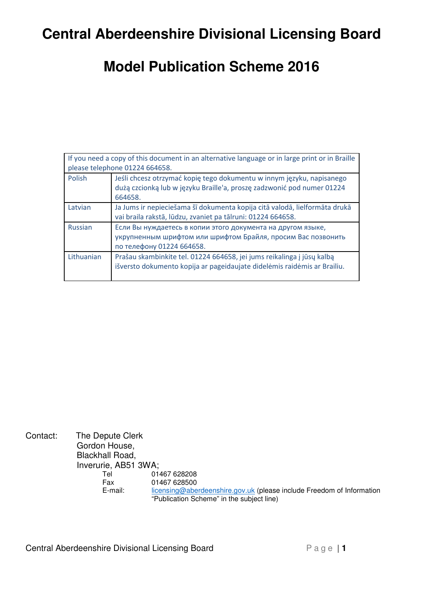# **Central Aberdeenshire Divisional Licensing Board**

# **Model Publication Scheme 2016**

| If you need a copy of this document in an alternative language or in large print or in Braille |                                                                                                                                                            |  |  |
|------------------------------------------------------------------------------------------------|------------------------------------------------------------------------------------------------------------------------------------------------------------|--|--|
| please telephone 01224 664658.                                                                 |                                                                                                                                                            |  |  |
| Polish                                                                                         | Jeśli chcesz otrzymać kopię tego dokumentu w innym języku, napisanego<br>dużą czcionką lub w języku Braille'a, proszę zadzwonić pod numer 01224<br>664658. |  |  |
| Latvian                                                                                        | Ja Jums ir nepieciešama šī dokumenta kopija citā valodā, lielformāta drukā<br>vai braila rakstā, lūdzu, zvaniet pa tālruni: 01224 664658.                  |  |  |
| Russian                                                                                        | Если Вы нуждаетесь в копии этого документа на другом языке,<br>укрупненным шрифтом или шрифтом Брайля, просим Вас позвонить<br>по телефону 01224 664658.   |  |  |
| Lithuanian                                                                                     | Prašau skambinkite tel. 01224 664658, jei jums reikalinga į jūsų kalbą<br>išversto dokumento kopija ar pageidaujate didelėmis raidėmis ar Brailiu.         |  |  |

Contact: The Depute Clerk Gordon House, Blackhall Road, Inverurie, AB51 3WA; 01467 628208 Fax 01467 628500 E-mail: licensing@aberdeenshire.gov.uk (please include Freedom of Information "Publication Scheme" in the subject line)

Central Aberdeenshire Divisional Licensing Board P a g e | 1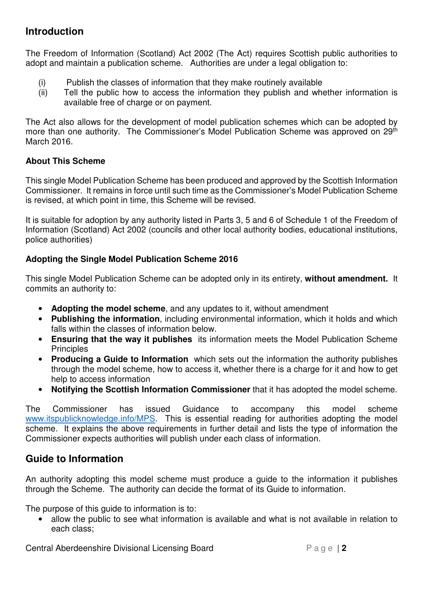#### **Introduction**

The Freedom of Information (Scotland) Act 2002 (The Act) requires Scottish public authorities to adopt and maintain a publication scheme. Authorities are under a legal obligation to:

- (i) Publish the classes of information that they make routinely available
- (ii) Tell the public how to access the information they publish and whether information is available free of charge or on payment.

The Act also allows for the development of model publication schemes which can be adopted by more than one authority. The Commissioner's Model Publication Scheme was approved on 29<sup>th</sup> March 2016

#### **About This Scheme**

This single Model Publication Scheme has been produced and approved by the Scottish Information Commissioner. It remains in force until such time as the Commissioner's Model Publication Scheme is revised, at which point in time, this Scheme will be revised.

It is suitable for adoption by any authority listed in Parts 3, 5 and 6 of Schedule 1 of the Freedom of Information (Scotland) Act 2002 (councils and other local authority bodies, educational institutions, police authorities)

#### **Adopting the Single Model Publication Scheme 2016**

This single Model Publication Scheme can be adopted only in its entirety, **without amendment.** It commits an authority to:

- **Adopting the model scheme**, and any updates to it, without amendment
- **Publishing the information**, including environmental information, which it holds and which falls within the classes of information below.
- **Ensuring that the way it publishes** its information meets the Model Publication Scheme **Principles**
- **Producing a Guide to Information** which sets out the information the authority publishes through the model scheme, how to access it, whether there is a charge for it and how to get help to access information
- **Notifying the Scottish Information Commissioner** that it has adopted the model scheme.

The Commissioner has issued Guidance to accompany this model scheme www.itspublicknowledge.info/MPS. This is essential reading for authorities adopting the model scheme. It explains the above requirements in further detail and lists the type of information the Commissioner expects authorities will publish under each class of information.

#### **Guide to Information**

An authority adopting this model scheme must produce a guide to the information it publishes through the Scheme. The authority can decide the format of its Guide to information.

The purpose of this guide to information is to:

• allow the public to see what information is available and what is not available in relation to each class;

**Central Aberdeenshire Divisional Licensing Board P a g e | 2**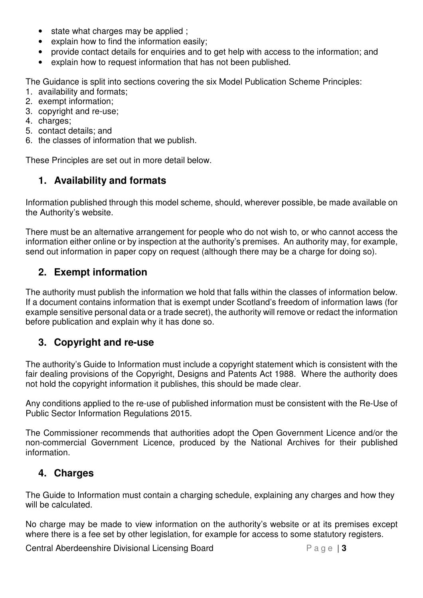- state what charges may be applied ;
- explain how to find the information easily;
- provide contact details for enquiries and to get help with access to the information; and
- explain how to request information that has not been published.

The Guidance is split into sections covering the six Model Publication Scheme Principles:

- 1. availability and formats;
- 2. exempt information;
- 3. copyright and re-use;
- 4. charges;
- 5. contact details; and
- 6. the classes of information that we publish.

These Principles are set out in more detail below.

### **1. Availability and formats**

Information published through this model scheme, should, wherever possible, be made available on the Authority's website.

There must be an alternative arrangement for people who do not wish to, or who cannot access the information either online or by inspection at the authority's premises. An authority may, for example, send out information in paper copy on request (although there may be a charge for doing so).

#### **2. Exempt information**

The authority must publish the information we hold that falls within the classes of information below. If a document contains information that is exempt under Scotland's freedom of information laws (for example sensitive personal data or a trade secret), the authority will remove or redact the information before publication and explain why it has done so.

#### **3. Copyright and re-use**

The authority's Guide to Information must include a copyright statement which is consistent with the fair dealing provisions of the Copyright, Designs and Patents Act 1988. Where the authority does not hold the copyright information it publishes, this should be made clear.

Any conditions applied to the re-use of published information must be consistent with the Re-Use of Public Sector Information Regulations 2015.

The Commissioner recommends that authorities adopt the Open Government Licence and/or the non-commercial Government Licence, produced by the National Archives for their published information.

#### **4. Charges**

The Guide to Information must contain a charging schedule, explaining any charges and how they will be calculated.

No charge may be made to view information on the authority's website or at its premises except where there is a fee set by other legislation, for example for access to some statutory registers.

**Central Aberdeenshire Divisional Licensing Board P a g e | 3**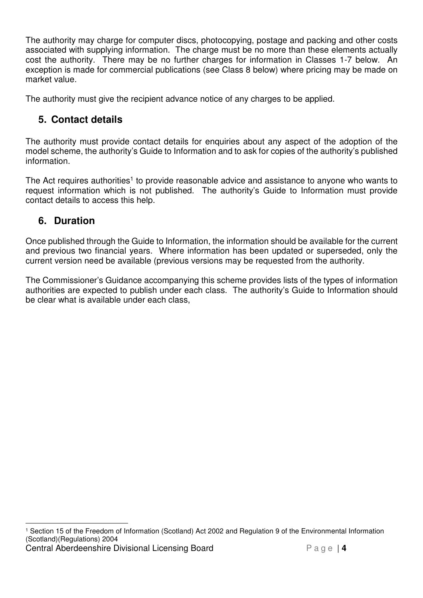The authority may charge for computer discs, photocopying, postage and packing and other costs associated with supplying information. The charge must be no more than these elements actually cost the authority. There may be no further charges for information in Classes 1-7 below. An exception is made for commercial publications (see Class 8 below) where pricing may be made on market value.

The authority must give the recipient advance notice of any charges to be applied.

### **5. Contact details**

The authority must provide contact details for enquiries about any aspect of the adoption of the model scheme, the authority's Guide to Information and to ask for copies of the authority's published information.

The Act requires authorities<sup>1</sup> to provide reasonable advice and assistance to anyone who wants to request information which is not published. The authority's Guide to Information must provide contact details to access this help.

### **6. Duration**

Once published through the Guide to Information, the information should be available for the current and previous two financial years. Where information has been updated or superseded, only the current version need be available (previous versions may be requested from the authority.

The Commissioner's Guidance accompanying this scheme provides lists of the types of information authorities are expected to publish under each class. The authority's Guide to Information should be clear what is available under each class,

**Central Aberdeenshire Divisional Licensing Board P a g e | 4**  $\overline{a}$ 1 Section 15 of the Freedom of Information (Scotland) Act 2002 and Regulation 9 of the Environmental Information (Scotland)(Regulations) 2004